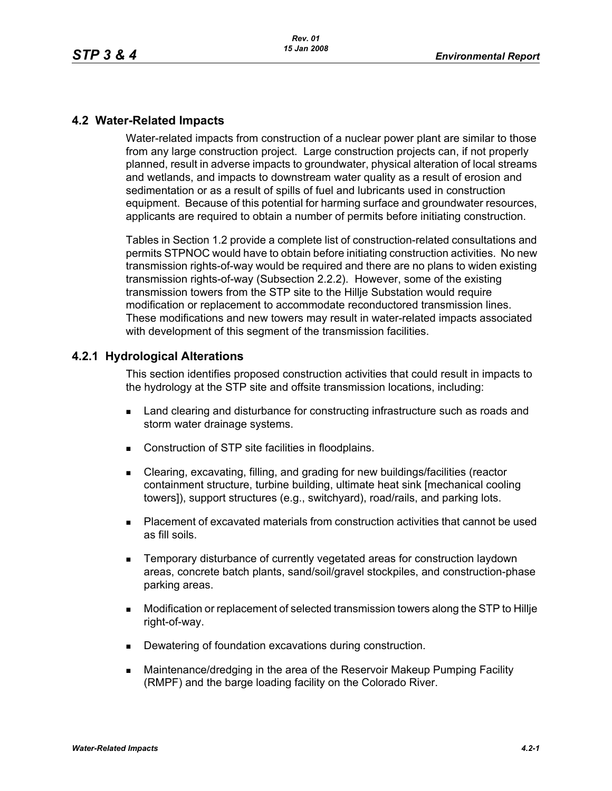## **4.2 Water-Related Impacts**

Water-related impacts from construction of a nuclear power plant are similar to those from any large construction project. Large construction projects can, if not properly planned, result in adverse impacts to groundwater, physical alteration of local streams and wetlands, and impacts to downstream water quality as a result of erosion and sedimentation or as a result of spills of fuel and lubricants used in construction equipment. Because of this potential for harming surface and groundwater resources, applicants are required to obtain a number of permits before initiating construction.

Tables in Section 1.2 provide a complete list of construction-related consultations and permits STPNOC would have to obtain before initiating construction activities. No new transmission rights-of-way would be required and there are no plans to widen existing transmission rights-of-way (Subsection 2.2.2). However, some of the existing transmission towers from the STP site to the Hillje Substation would require modification or replacement to accommodate reconductored transmission lines. These modifications and new towers may result in water-related impacts associated with development of this segment of the transmission facilities.

# **4.2.1 Hydrological Alterations**

This section identifies proposed construction activities that could result in impacts to the hydrology at the STP site and offsite transmission locations, including:

- **EXEC** Land clearing and disturbance for constructing infrastructure such as roads and storm water drainage systems.
- Construction of STP site facilities in floodplains.
- Clearing, excavating, filling, and grading for new buildings/facilities (reactor containment structure, turbine building, ultimate heat sink [mechanical cooling towers]), support structures (e.g., switchyard), road/rails, and parking lots.
- Placement of excavated materials from construction activities that cannot be used as fill soils.
- Temporary disturbance of currently vegetated areas for construction laydown areas, concrete batch plants, sand/soil/gravel stockpiles, and construction-phase parking areas.
- Modification or replacement of selected transmission towers along the STP to Hillje right-of-way.
- Dewatering of foundation excavations during construction.
- Maintenance/dredging in the area of the Reservoir Makeup Pumping Facility (RMPF) and the barge loading facility on the Colorado River.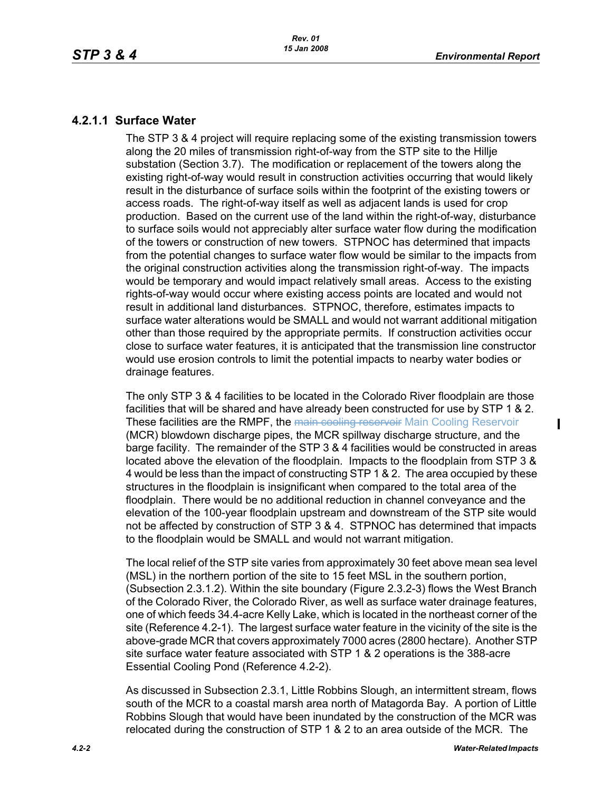# **4.2.1.1 Surface Water**

The STP 3 & 4 project will require replacing some of the existing transmission towers along the 20 miles of transmission right-of-way from the STP site to the Hillje substation (Section 3.7). The modification or replacement of the towers along the existing right-of-way would result in construction activities occurring that would likely result in the disturbance of surface soils within the footprint of the existing towers or access roads. The right-of-way itself as well as adjacent lands is used for crop production. Based on the current use of the land within the right-of-way, disturbance to surface soils would not appreciably alter surface water flow during the modification of the towers or construction of new towers. STPNOC has determined that impacts from the potential changes to surface water flow would be similar to the impacts from the original construction activities along the transmission right-of-way. The impacts would be temporary and would impact relatively small areas. Access to the existing rights-of-way would occur where existing access points are located and would not result in additional land disturbances. STPNOC, therefore, estimates impacts to surface water alterations would be SMALL and would not warrant additional mitigation other than those required by the appropriate permits. If construction activities occur close to surface water features, it is anticipated that the transmission line constructor would use erosion controls to limit the potential impacts to nearby water bodies or drainage features.

The only STP 3 & 4 facilities to be located in the Colorado River floodplain are those facilities that will be shared and have already been constructed for use by STP 1 & 2. These facilities are the RMPF, the main cooling reservoir Main Cooling Reservoir (MCR) blowdown discharge pipes, the MCR spillway discharge structure, and the barge facility. The remainder of the STP 3 & 4 facilities would be constructed in areas located above the elevation of the floodplain. Impacts to the floodplain from STP 3 & 4 would be less than the impact of constructing STP 1 & 2. The area occupied by these structures in the floodplain is insignificant when compared to the total area of the floodplain. There would be no additional reduction in channel conveyance and the elevation of the 100-year floodplain upstream and downstream of the STP site would not be affected by construction of STP 3 & 4. STPNOC has determined that impacts to the floodplain would be SMALL and would not warrant mitigation.

The local relief of the STP site varies from approximately 30 feet above mean sea level (MSL) in the northern portion of the site to 15 feet MSL in the southern portion, (Subsection 2.3.1.2). Within the site boundary (Figure 2.3.2-3) flows the West Branch of the Colorado River, the Colorado River, as well as surface water drainage features, one of which feeds 34.4-acre Kelly Lake, which is located in the northeast corner of the site (Reference 4.2-1). The largest surface water feature in the vicinity of the site is the above-grade MCR that covers approximately 7000 acres (2800 hectare). Another STP site surface water feature associated with STP 1 & 2 operations is the 388-acre Essential Cooling Pond (Reference 4.2-2).

As discussed in Subsection 2.3.1, Little Robbins Slough, an intermittent stream, flows south of the MCR to a coastal marsh area north of Matagorda Bay. A portion of Little Robbins Slough that would have been inundated by the construction of the MCR was relocated during the construction of STP 1 & 2 to an area outside of the MCR. The

 $\blacksquare$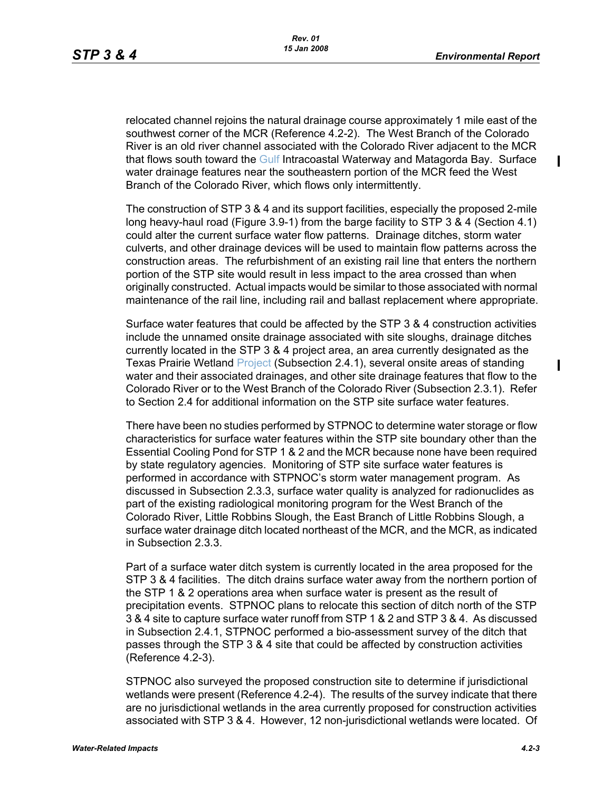П

relocated channel rejoins the natural drainage course approximately 1 mile east of the southwest corner of the MCR (Reference 4.2-2). The West Branch of the Colorado River is an old river channel associated with the Colorado River adjacent to the MCR that flows south toward the Gulf Intracoastal Waterway and Matagorda Bay. Surface water drainage features near the southeastern portion of the MCR feed the West Branch of the Colorado River, which flows only intermittently.

The construction of STP 3 & 4 and its support facilities, especially the proposed 2-mile long heavy-haul road (Figure 3.9-1) from the barge facility to STP 3 & 4 (Section 4.1) could alter the current surface water flow patterns. Drainage ditches, storm water culverts, and other drainage devices will be used to maintain flow patterns across the construction areas. The refurbishment of an existing rail line that enters the northern portion of the STP site would result in less impact to the area crossed than when originally constructed. Actual impacts would be similar to those associated with normal maintenance of the rail line, including rail and ballast replacement where appropriate.

Surface water features that could be affected by the STP 3 & 4 construction activities include the unnamed onsite drainage associated with site sloughs, drainage ditches currently located in the STP 3 & 4 project area, an area currently designated as the Texas Prairie Wetland Project (Subsection 2.4.1), several onsite areas of standing water and their associated drainages, and other site drainage features that flow to the Colorado River or to the West Branch of the Colorado River (Subsection 2.3.1). Refer to Section 2.4 for additional information on the STP site surface water features.

There have been no studies performed by STPNOC to determine water storage or flow characteristics for surface water features within the STP site boundary other than the Essential Cooling Pond for STP 1 & 2 and the MCR because none have been required by state regulatory agencies. Monitoring of STP site surface water features is performed in accordance with STPNOC's storm water management program. As discussed in Subsection 2.3.3, surface water quality is analyzed for radionuclides as part of the existing radiological monitoring program for the West Branch of the Colorado River, Little Robbins Slough, the East Branch of Little Robbins Slough, a surface water drainage ditch located northeast of the MCR, and the MCR, as indicated in Subsection 2.3.3.

Part of a surface water ditch system is currently located in the area proposed for the STP 3 & 4 facilities. The ditch drains surface water away from the northern portion of the STP 1 & 2 operations area when surface water is present as the result of precipitation events. STPNOC plans to relocate this section of ditch north of the STP 3 & 4 site to capture surface water runoff from STP 1 & 2 and STP 3 & 4. As discussed in Subsection 2.4.1, STPNOC performed a bio-assessment survey of the ditch that passes through the STP 3 & 4 site that could be affected by construction activities (Reference 4.2-3).

STPNOC also surveyed the proposed construction site to determine if jurisdictional wetlands were present (Reference 4.2-4). The results of the survey indicate that there are no jurisdictional wetlands in the area currently proposed for construction activities associated with STP 3 & 4. However, 12 non-jurisdictional wetlands were located. Of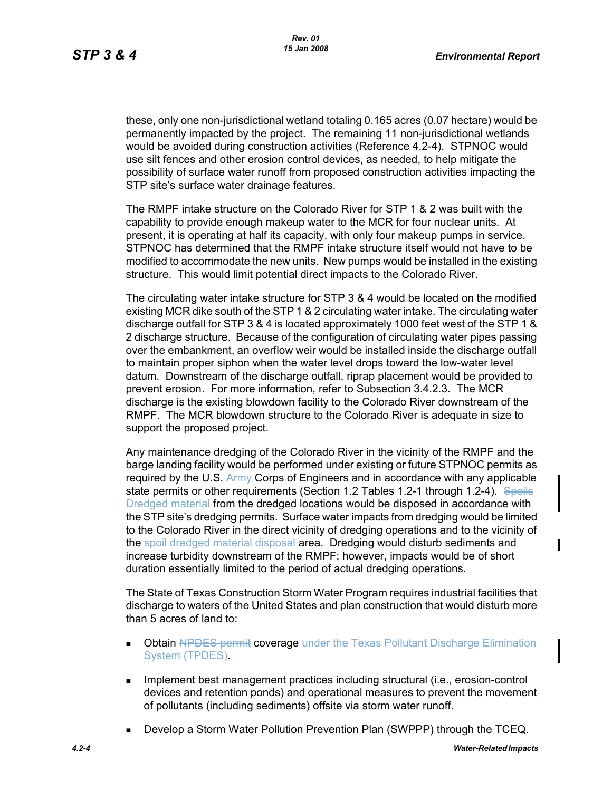these, only one non-jurisdictional wetland totaling 0.165 acres (0.07 hectare) would be permanently impacted by the project. The remaining 11 non-jurisdictional wetlands would be avoided during construction activities (Reference 4.2-4). STPNOC would use silt fences and other erosion control devices, as needed, to help mitigate the possibility of surface water runoff from proposed construction activities impacting the STP site's surface water drainage features.

The RMPF intake structure on the Colorado River for STP 1 & 2 was built with the capability to provide enough makeup water to the MCR for four nuclear units. At present, it is operating at half its capacity, with only four makeup pumps in service. STPNOC has determined that the RMPF intake structure itself would not have to be modified to accommodate the new units. New pumps would be installed in the existing structure. This would limit potential direct impacts to the Colorado River.

The circulating water intake structure for STP 3 & 4 would be located on the modified existing MCR dike south of the STP 1 & 2 circulating water intake. The circulating water discharge outfall for STP 3 & 4 is located approximately 1000 feet west of the STP 1 & 2 discharge structure. Because of the configuration of circulating water pipes passing over the embankment, an overflow weir would be installed inside the discharge outfall to maintain proper siphon when the water level drops toward the low-water level datum. Downstream of the discharge outfall, riprap placement would be provided to prevent erosion. For more information, refer to Subsection 3.4.2.3. The MCR discharge is the existing blowdown facility to the Colorado River downstream of the RMPF. The MCR blowdown structure to the Colorado River is adequate in size to support the proposed project.

Any maintenance dredging of the Colorado River in the vicinity of the RMPF and the barge landing facility would be performed under existing or future STPNOC permits as required by the U.S. Army Corps of Engineers and in accordance with any applicable state permits or other requirements (Section 1.2 Tables 1.2-1 through 1.2-4). Spoils Dredged material from the dredged locations would be disposed in accordance with the STP site's dredging permits. Surface water impacts from dredging would be limited to the Colorado River in the direct vicinity of dredging operations and to the vicinity of the spoil dredged material disposal area. Dredging would disturb sediments and increase turbidity downstream of the RMPF; however, impacts would be of short duration essentially limited to the period of actual dredging operations.

The State of Texas Construction Storm Water Program requires industrial facilities that discharge to waters of the United States and plan construction that would disturb more than 5 acres of land to:

- **Dbtain NPDES permit coverage** under the Texas Pollutant Discharge Elimination System (TPDES).
- **IMPLEMENT MANAGEMENT EXAMPLE THE IMPLEMENT INCORDIT IN THE IMPLEMENT INCORDENT INCORDENT INCORDENT INCORDENT I** devices and retention ponds) and operational measures to prevent the movement of pollutants (including sediments) offsite via storm water runoff.
- Develop a Storm Water Pollution Prevention Plan (SWPPP) through the TCEQ.

I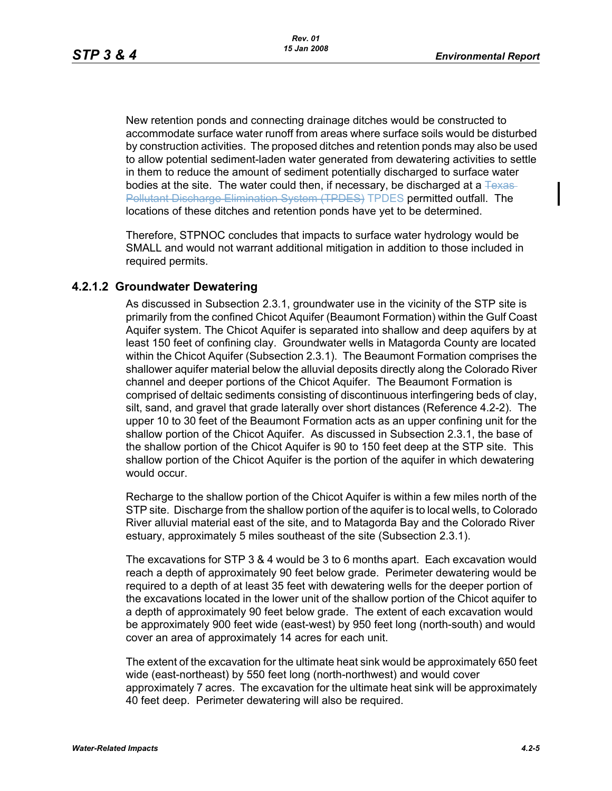New retention ponds and connecting drainage ditches would be constructed to accommodate surface water runoff from areas where surface soils would be disturbed by construction activities. The proposed ditches and retention ponds may also be used to allow potential sediment-laden water generated from dewatering activities to settle in them to reduce the amount of sediment potentially discharged to surface water bodies at the site. The water could then, if necessary, be discharged at a  $T_{\text{EXAS}}$ Pollutant Discharge Elimination System (TPDES) TPDES permitted outfall. The locations of these ditches and retention ponds have yet to be determined.

Therefore, STPNOC concludes that impacts to surface water hydrology would be SMALL and would not warrant additional mitigation in addition to those included in required permits.

# **4.2.1.2 Groundwater Dewatering**

As discussed in Subsection 2.3.1, groundwater use in the vicinity of the STP site is primarily from the confined Chicot Aquifer (Beaumont Formation) within the Gulf Coast Aquifer system. The Chicot Aquifer is separated into shallow and deep aquifers by at least 150 feet of confining clay. Groundwater wells in Matagorda County are located within the Chicot Aquifer (Subsection 2.3.1). The Beaumont Formation comprises the shallower aquifer material below the alluvial deposits directly along the Colorado River channel and deeper portions of the Chicot Aquifer. The Beaumont Formation is comprised of deltaic sediments consisting of discontinuous interfingering beds of clay, silt, sand, and gravel that grade laterally over short distances (Reference 4.2-2). The upper 10 to 30 feet of the Beaumont Formation acts as an upper confining unit for the shallow portion of the Chicot Aquifer. As discussed in Subsection 2.3.1, the base of the shallow portion of the Chicot Aquifer is 90 to 150 feet deep at the STP site. This shallow portion of the Chicot Aquifer is the portion of the aquifer in which dewatering would occur.

Recharge to the shallow portion of the Chicot Aquifer is within a few miles north of the STP site. Discharge from the shallow portion of the aquifer is to local wells, to Colorado River alluvial material east of the site, and to Matagorda Bay and the Colorado River estuary, approximately 5 miles southeast of the site (Subsection 2.3.1).

The excavations for STP 3 & 4 would be 3 to 6 months apart. Each excavation would reach a depth of approximately 90 feet below grade. Perimeter dewatering would be required to a depth of at least 35 feet with dewatering wells for the deeper portion of the excavations located in the lower unit of the shallow portion of the Chicot aquifer to a depth of approximately 90 feet below grade. The extent of each excavation would be approximately 900 feet wide (east-west) by 950 feet long (north-south) and would cover an area of approximately 14 acres for each unit.

The extent of the excavation for the ultimate heat sink would be approximately 650 feet wide (east-northeast) by 550 feet long (north-northwest) and would cover approximately 7 acres. The excavation for the ultimate heat sink will be approximately 40 feet deep. Perimeter dewatering will also be required.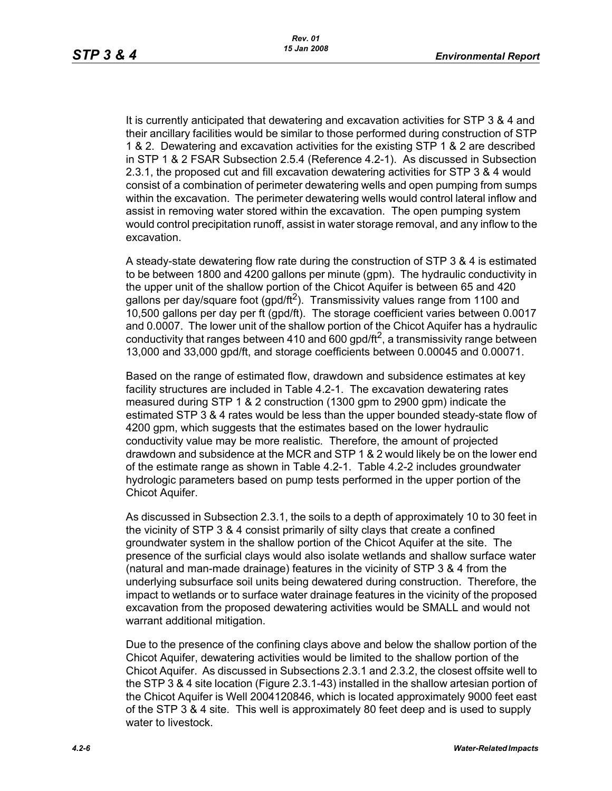It is currently anticipated that dewatering and excavation activities for STP 3 & 4 and their ancillary facilities would be similar to those performed during construction of STP 1 & 2. Dewatering and excavation activities for the existing STP 1 & 2 are described in STP 1 & 2 FSAR Subsection 2.5.4 (Reference 4.2-1). As discussed in Subsection 2.3.1, the proposed cut and fill excavation dewatering activities for STP 3 & 4 would consist of a combination of perimeter dewatering wells and open pumping from sumps within the excavation. The perimeter dewatering wells would control lateral inflow and assist in removing water stored within the excavation. The open pumping system would control precipitation runoff, assist in water storage removal, and any inflow to the excavation.

A steady-state dewatering flow rate during the construction of STP 3 & 4 is estimated to be between 1800 and 4200 gallons per minute (gpm). The hydraulic conductivity in the upper unit of the shallow portion of the Chicot Aquifer is between 65 and 420 gallons per day/square foot (gpd/ft<sup>2</sup>). Transmissivity values range from 1100 and 10,500 gallons per day per ft (gpd/ft). The storage coefficient varies between 0.0017 and 0.0007. The lower unit of the shallow portion of the Chicot Aquifer has a hydraulic conductivity that ranges between 410 and 600 gpd/ft<sup>2</sup>, a transmissivity range between 13,000 and 33,000 gpd/ft, and storage coefficients between 0.00045 and 0.00071.

Based on the range of estimated flow, drawdown and subsidence estimates at key facility structures are included in Table 4.2-1. The excavation dewatering rates measured during STP 1 & 2 construction (1300 gpm to 2900 gpm) indicate the estimated STP 3 & 4 rates would be less than the upper bounded steady-state flow of 4200 gpm, which suggests that the estimates based on the lower hydraulic conductivity value may be more realistic. Therefore, the amount of projected drawdown and subsidence at the MCR and STP 1 & 2 would likely be on the lower end of the estimate range as shown in Table 4.2-1. Table 4.2-2 includes groundwater hydrologic parameters based on pump tests performed in the upper portion of the Chicot Aquifer.

As discussed in Subsection 2.3.1, the soils to a depth of approximately 10 to 30 feet in the vicinity of STP 3 & 4 consist primarily of silty clays that create a confined groundwater system in the shallow portion of the Chicot Aquifer at the site. The presence of the surficial clays would also isolate wetlands and shallow surface water (natural and man-made drainage) features in the vicinity of STP 3 & 4 from the underlying subsurface soil units being dewatered during construction. Therefore, the impact to wetlands or to surface water drainage features in the vicinity of the proposed excavation from the proposed dewatering activities would be SMALL and would not warrant additional mitigation.

Due to the presence of the confining clays above and below the shallow portion of the Chicot Aquifer, dewatering activities would be limited to the shallow portion of the Chicot Aquifer. As discussed in Subsections 2.3.1 and 2.3.2, the closest offsite well to the STP 3 & 4 site location (Figure 2.3.1-43) installed in the shallow artesian portion of the Chicot Aquifer is Well 2004120846, which is located approximately 9000 feet east of the STP 3 & 4 site. This well is approximately 80 feet deep and is used to supply water to livestock.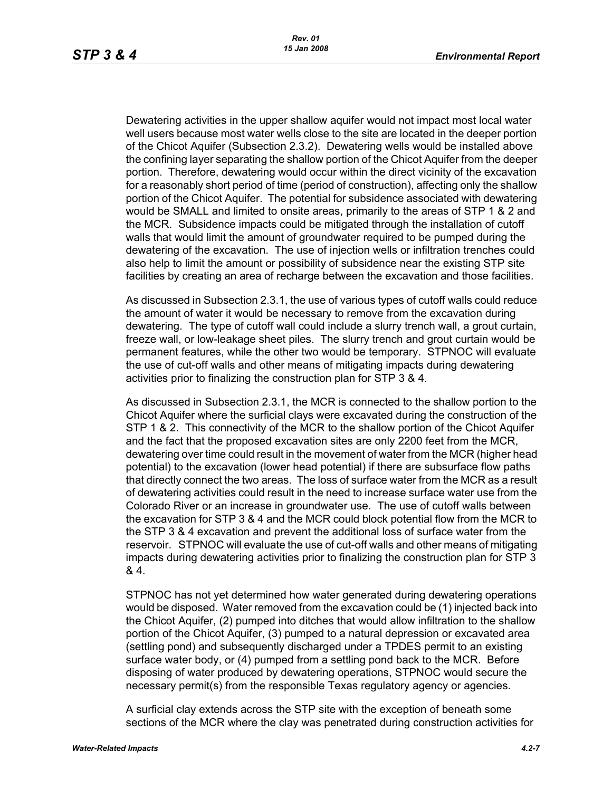Dewatering activities in the upper shallow aquifer would not impact most local water well users because most water wells close to the site are located in the deeper portion of the Chicot Aquifer (Subsection 2.3.2). Dewatering wells would be installed above the confining layer separating the shallow portion of the Chicot Aquifer from the deeper portion. Therefore, dewatering would occur within the direct vicinity of the excavation for a reasonably short period of time (period of construction), affecting only the shallow portion of the Chicot Aquifer. The potential for subsidence associated with dewatering would be SMALL and limited to onsite areas, primarily to the areas of STP 1 & 2 and the MCR. Subsidence impacts could be mitigated through the installation of cutoff walls that would limit the amount of groundwater required to be pumped during the dewatering of the excavation. The use of injection wells or infiltration trenches could also help to limit the amount or possibility of subsidence near the existing STP site facilities by creating an area of recharge between the excavation and those facilities.

As discussed in Subsection 2.3.1, the use of various types of cutoff walls could reduce the amount of water it would be necessary to remove from the excavation during dewatering. The type of cutoff wall could include a slurry trench wall, a grout curtain, freeze wall, or low-leakage sheet piles. The slurry trench and grout curtain would be permanent features, while the other two would be temporary. STPNOC will evaluate the use of cut-off walls and other means of mitigating impacts during dewatering activities prior to finalizing the construction plan for STP 3 & 4.

As discussed in Subsection 2.3.1, the MCR is connected to the shallow portion to the Chicot Aquifer where the surficial clays were excavated during the construction of the STP 1 & 2. This connectivity of the MCR to the shallow portion of the Chicot Aquifer and the fact that the proposed excavation sites are only 2200 feet from the MCR, dewatering over time could result in the movement of water from the MCR (higher head potential) to the excavation (lower head potential) if there are subsurface flow paths that directly connect the two areas. The loss of surface water from the MCR as a result of dewatering activities could result in the need to increase surface water use from the Colorado River or an increase in groundwater use. The use of cutoff walls between the excavation for STP 3 & 4 and the MCR could block potential flow from the MCR to the STP 3 & 4 excavation and prevent the additional loss of surface water from the reservoir. STPNOC will evaluate the use of cut-off walls and other means of mitigating impacts during dewatering activities prior to finalizing the construction plan for STP 3 & 4.

STPNOC has not yet determined how water generated during dewatering operations would be disposed. Water removed from the excavation could be (1) injected back into the Chicot Aquifer, (2) pumped into ditches that would allow infiltration to the shallow portion of the Chicot Aquifer, (3) pumped to a natural depression or excavated area (settling pond) and subsequently discharged under a TPDES permit to an existing surface water body, or (4) pumped from a settling pond back to the MCR. Before disposing of water produced by dewatering operations, STPNOC would secure the necessary permit(s) from the responsible Texas regulatory agency or agencies.

A surficial clay extends across the STP site with the exception of beneath some sections of the MCR where the clay was penetrated during construction activities for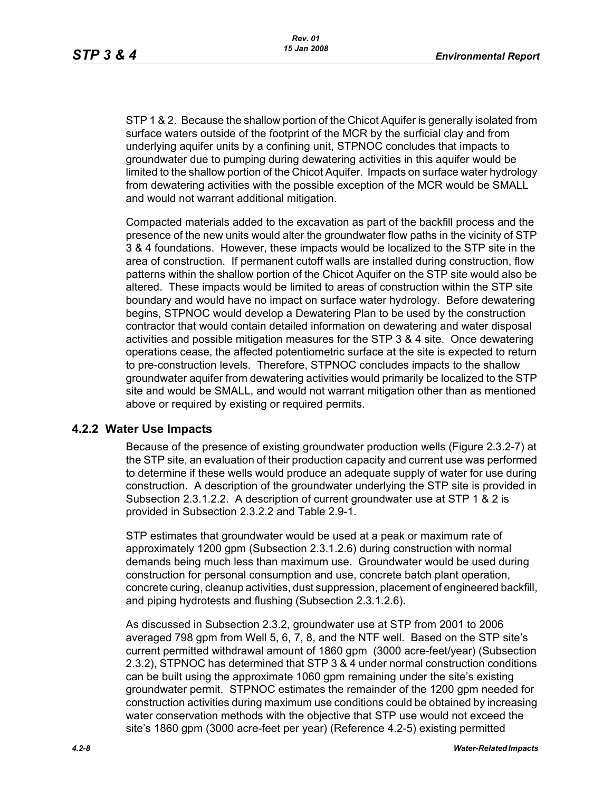STP 1 & 2. Because the shallow portion of the Chicot Aquifer is generally isolated from surface waters outside of the footprint of the MCR by the surficial clay and from underlying aquifer units by a confining unit, STPNOC concludes that impacts to groundwater due to pumping during dewatering activities in this aquifer would be limited to the shallow portion of the Chicot Aquifer. Impacts on surface water hydrology from dewatering activities with the possible exception of the MCR would be SMALL and would not warrant additional mitigation.

Compacted materials added to the excavation as part of the backfill process and the presence of the new units would alter the groundwater flow paths in the vicinity of STP 3 & 4 foundations. However, these impacts would be localized to the STP site in the area of construction. If permanent cutoff walls are installed during construction, flow patterns within the shallow portion of the Chicot Aquifer on the STP site would also be altered. These impacts would be limited to areas of construction within the STP site boundary and would have no impact on surface water hydrology. Before dewatering begins, STPNOC would develop a Dewatering Plan to be used by the construction contractor that would contain detailed information on dewatering and water disposal activities and possible mitigation measures for the STP 3 & 4 site. Once dewatering operations cease, the affected potentiometric surface at the site is expected to return to pre-construction levels. Therefore, STPNOC concludes impacts to the shallow groundwater aquifer from dewatering activities would primarily be localized to the STP site and would be SMALL, and would not warrant mitigation other than as mentioned above or required by existing or required permits.

### **4.2.2 Water Use Impacts**

Because of the presence of existing groundwater production wells (Figure 2.3.2-7) at the STP site, an evaluation of their production capacity and current use was performed to determine if these wells would produce an adequate supply of water for use during construction. A description of the groundwater underlying the STP site is provided in Subsection 2.3.1.2.2. A description of current groundwater use at STP 1 & 2 is provided in Subsection 2.3.2.2 and Table 2.9-1.

STP estimates that groundwater would be used at a peak or maximum rate of approximately 1200 gpm (Subsection 2.3.1.2.6) during construction with normal demands being much less than maximum use. Groundwater would be used during construction for personal consumption and use, concrete batch plant operation, concrete curing, cleanup activities, dust suppression, placement of engineered backfill, and piping hydrotests and flushing (Subsection 2.3.1.2.6).

As discussed in Subsection 2.3.2, groundwater use at STP from 2001 to 2006 averaged 798 gpm from Well 5, 6, 7, 8, and the NTF well. Based on the STP site's current permitted withdrawal amount of 1860 gpm (3000 acre-feet/year) (Subsection 2.3.2), STPNOC has determined that STP 3 & 4 under normal construction conditions can be built using the approximate 1060 gpm remaining under the site's existing groundwater permit. STPNOC estimates the remainder of the 1200 gpm needed for construction activities during maximum use conditions could be obtained by increasing water conservation methods with the objective that STP use would not exceed the site's 1860 gpm (3000 acre-feet per year) (Reference 4.2-5) existing permitted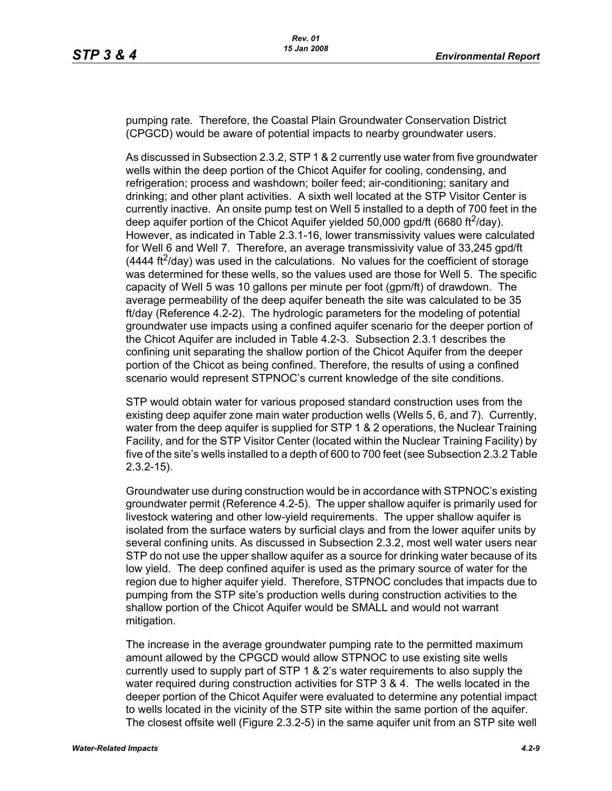pumping rate. Therefore, the Coastal Plain Groundwater Conservation District (CPGCD) would be aware of potential impacts to nearby groundwater users.

As discussed in Subsection 2.3.2, STP 1 & 2 currently use water from five groundwater wells within the deep portion of the Chicot Aquifer for cooling, condensing, and refrigeration; process and washdown; boiler feed; air-conditioning; sanitary and drinking; and other plant activities. A sixth well located at the STP Visitor Center is currently inactive. An onsite pump test on Well 5 installed to a depth of 700 feet in the deep aquifer portion of the Chicot Aquifer yielded 50,000 gpd/ft (6680 ft<sup>2</sup>/day). However, as indicated in Table 2.3.1-16, lower transmissivity values were calculated for Well 6 and Well 7. Therefore, an average transmissivity value of 33,245 gpd/ft  $(4444 \text{ ft}^2/\text{day})$  was used in the calculations. No values for the coefficient of storage was determined for these wells, so the values used are those for Well 5. The specific capacity of Well 5 was 10 gallons per minute per foot (gpm/ft) of drawdown. The average permeability of the deep aquifer beneath the site was calculated to be 35 ft/day (Reference 4.2-2). The hydrologic parameters for the modeling of potential groundwater use impacts using a confined aquifer scenario for the deeper portion of the Chicot Aquifer are included in Table 4.2-3. Subsection 2.3.1 describes the confining unit separating the shallow portion of the Chicot Aquifer from the deeper portion of the Chicot as being confined. Therefore, the results of using a confined scenario would represent STPNOC's current knowledge of the site conditions.

STP would obtain water for various proposed standard construction uses from the existing deep aquifer zone main water production wells (Wells 5, 6, and 7). Currently, water from the deep aquifer is supplied for STP 1 & 2 operations, the Nuclear Training Facility, and for the STP Visitor Center (located within the Nuclear Training Facility) by five of the site's wells installed to a depth of 600 to 700 feet (see Subsection 2.3.2 Table 2.3.2-15).

Groundwater use during construction would be in accordance with STPNOC's existing groundwater permit (Reference 4.2-5). The upper shallow aquifer is primarily used for livestock watering and other low-yield requirements. The upper shallow aquifer is isolated from the surface waters by surficial clays and from the lower aquifer units by several confining units. As discussed in Subsection 2.3.2, most well water users near STP do not use the upper shallow aquifer as a source for drinking water because of its low yield. The deep confined aquifer is used as the primary source of water for the region due to higher aquifer yield. Therefore, STPNOC concludes that impacts due to pumping from the STP site's production wells during construction activities to the shallow portion of the Chicot Aquifer would be SMALL and would not warrant mitigation.

The increase in the average groundwater pumping rate to the permitted maximum amount allowed by the CPGCD would allow STPNOC to use existing site wells currently used to supply part of STP 1 & 2's water requirements to also supply the water required during construction activities for STP 3 & 4. The wells located in the deeper portion of the Chicot Aquifer were evaluated to determine any potential impact to wells located in the vicinity of the STP site within the same portion of the aquifer. The closest offsite well (Figure 2.3.2-5) in the same aquifer unit from an STP site well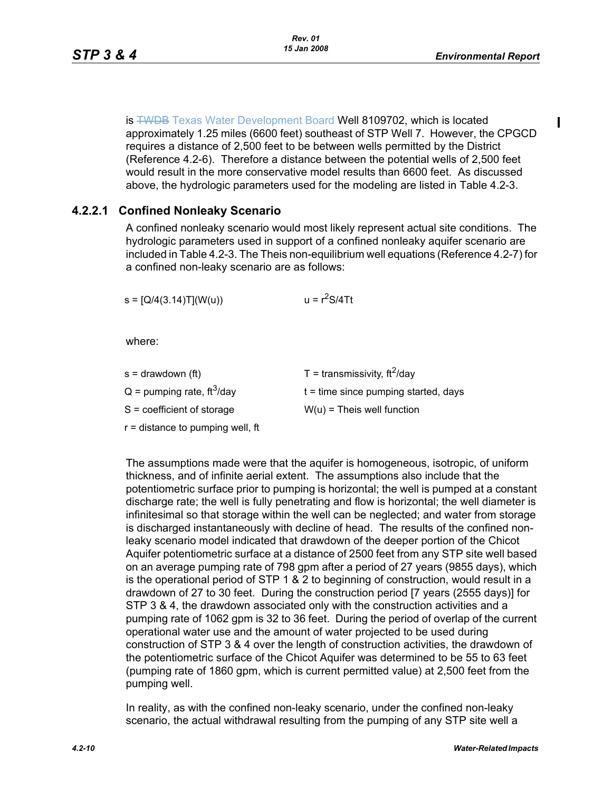is **TWDB** Texas Water Development Board Well 8109702, which is located approximately 1.25 miles (6600 feet) southeast of STP Well 7. However, the CPGCD requires a distance of 2,500 feet to be between wells permitted by the District (Reference 4.2-6). Therefore a distance between the potential wells of 2,500 feet would result in the more conservative model results than 6600 feet. As discussed above, the hydrologic parameters used for the modeling are listed in Table 4.2-3.

# **4.2.2.1 Confined Nonleaky Scenario**

A confined nonleaky scenario would most likely represent actual site conditions. The hydrologic parameters used in support of a confined nonleaky aquifer scenario are included in Table 4.2-3. The Theis non-equilibrium well equations (Reference 4.2-7) for a confined non-leaky scenario are as follows:

 $s = [Q/4(3.14)T](W(u))$   $u = r<sup>2</sup>S/4Tt$ 

where:

- s = drawdown (ft)  $T =$  transmissivity, ft<sup>2</sup>/day
- $Q =$  pumping rate, ft<sup>3</sup>/day t = time since pumping started, days

 $S =$  coefficient of storage  $W(u) =$  Theis well function

r = distance to pumping well, ft

The assumptions made were that the aquifer is homogeneous, isotropic, of uniform thickness, and of infinite aerial extent. The assumptions also include that the potentiometric surface prior to pumping is horizontal; the well is pumped at a constant discharge rate; the well is fully penetrating and flow is horizontal; the well diameter is infinitesimal so that storage within the well can be neglected; and water from storage is discharged instantaneously with decline of head. The results of the confined nonleaky scenario model indicated that drawdown of the deeper portion of the Chicot Aquifer potentiometric surface at a distance of 2500 feet from any STP site well based on an average pumping rate of 798 gpm after a period of 27 years (9855 days), which is the operational period of STP 1 & 2 to beginning of construction, would result in a drawdown of 27 to 30 feet. During the construction period [7 years (2555 days)] for STP 3 & 4, the drawdown associated only with the construction activities and a pumping rate of 1062 gpm is 32 to 36 feet. During the period of overlap of the current operational water use and the amount of water projected to be used during construction of STP 3 & 4 over the length of construction activities, the drawdown of the potentiometric surface of the Chicot Aquifer was determined to be 55 to 63 feet (pumping rate of 1860 gpm, which is current permitted value) at 2,500 feet from the pumping well.

In reality, as with the confined non-leaky scenario, under the confined non-leaky scenario, the actual withdrawal resulting from the pumping of any STP site well a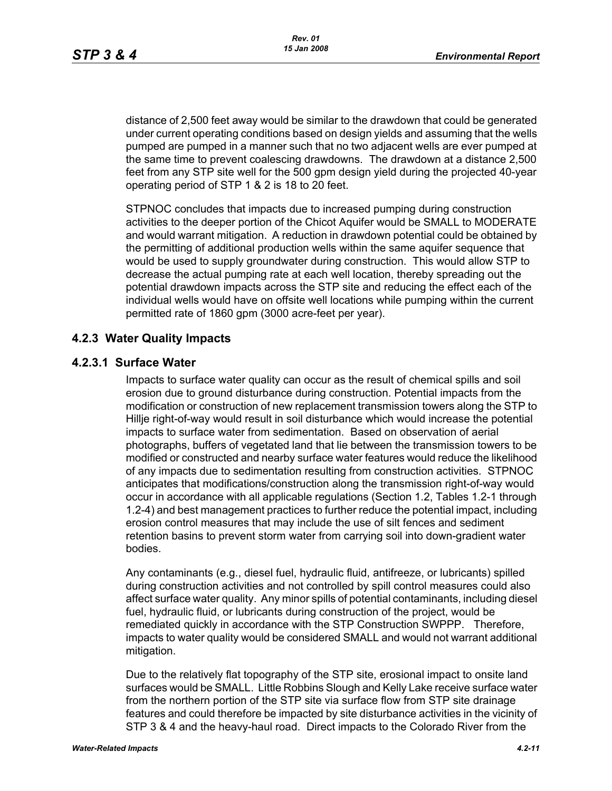distance of 2,500 feet away would be similar to the drawdown that could be generated under current operating conditions based on design yields and assuming that the wells pumped are pumped in a manner such that no two adjacent wells are ever pumped at the same time to prevent coalescing drawdowns. The drawdown at a distance 2,500 feet from any STP site well for the 500 gpm design yield during the projected 40-year operating period of STP 1 & 2 is 18 to 20 feet.

STPNOC concludes that impacts due to increased pumping during construction activities to the deeper portion of the Chicot Aquifer would be SMALL to MODERATE and would warrant mitigation. A reduction in drawdown potential could be obtained by the permitting of additional production wells within the same aquifer sequence that would be used to supply groundwater during construction. This would allow STP to decrease the actual pumping rate at each well location, thereby spreading out the potential drawdown impacts across the STP site and reducing the effect each of the individual wells would have on offsite well locations while pumping within the current permitted rate of 1860 gpm (3000 acre-feet per year).

# **4.2.3 Water Quality Impacts**

# **4.2.3.1 Surface Water**

Impacts to surface water quality can occur as the result of chemical spills and soil erosion due to ground disturbance during construction. Potential impacts from the modification or construction of new replacement transmission towers along the STP to Hillje right-of-way would result in soil disturbance which would increase the potential impacts to surface water from sedimentation. Based on observation of aerial photographs, buffers of vegetated land that lie between the transmission towers to be modified or constructed and nearby surface water features would reduce the likelihood of any impacts due to sedimentation resulting from construction activities. STPNOC anticipates that modifications/construction along the transmission right-of-way would occur in accordance with all applicable regulations (Section 1.2, Tables 1.2-1 through 1.2-4) and best management practices to further reduce the potential impact, including erosion control measures that may include the use of silt fences and sediment retention basins to prevent storm water from carrying soil into down-gradient water bodies.

Any contaminants (e.g., diesel fuel, hydraulic fluid, antifreeze, or lubricants) spilled during construction activities and not controlled by spill control measures could also affect surface water quality. Any minor spills of potential contaminants, including diesel fuel, hydraulic fluid, or lubricants during construction of the project, would be remediated quickly in accordance with the STP Construction SWPPP. Therefore, impacts to water quality would be considered SMALL and would not warrant additional mitigation.

Due to the relatively flat topography of the STP site, erosional impact to onsite land surfaces would be SMALL. Little Robbins Slough and Kelly Lake receive surface water from the northern portion of the STP site via surface flow from STP site drainage features and could therefore be impacted by site disturbance activities in the vicinity of STP 3 & 4 and the heavy-haul road. Direct impacts to the Colorado River from the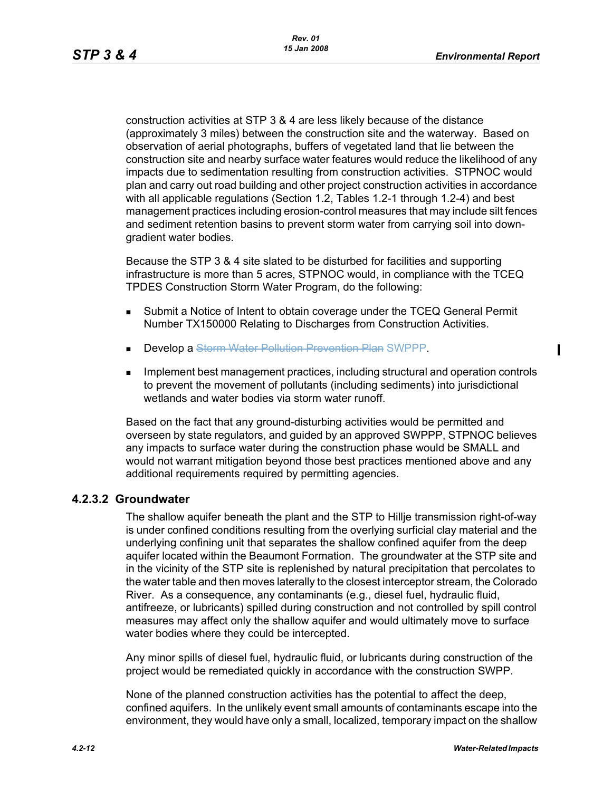$\mathbf I$ 

construction activities at STP 3 & 4 are less likely because of the distance (approximately 3 miles) between the construction site and the waterway. Based on observation of aerial photographs, buffers of vegetated land that lie between the construction site and nearby surface water features would reduce the likelihood of any impacts due to sedimentation resulting from construction activities. STPNOC would plan and carry out road building and other project construction activities in accordance with all applicable regulations (Section 1.2, Tables 1.2-1 through 1.2-4) and best management practices including erosion-control measures that may include silt fences and sediment retention basins to prevent storm water from carrying soil into downgradient water bodies.

Because the STP 3 & 4 site slated to be disturbed for facilities and supporting infrastructure is more than 5 acres, STPNOC would, in compliance with the TCEQ TPDES Construction Storm Water Program, do the following:

- Submit a Notice of Intent to obtain coverage under the TCEQ General Permit Number TX150000 Relating to Discharges from Construction Activities.
- **Develop a Storm Water Pollution Prevention Plan SWPPP.**
- **IMPLEMENT MANAGEM IMPLEMENT MANAGEM** Implement practices, including structural and operation controls to prevent the movement of pollutants (including sediments) into jurisdictional wetlands and water bodies via storm water runoff.

Based on the fact that any ground-disturbing activities would be permitted and overseen by state regulators, and guided by an approved SWPPP, STPNOC believes any impacts to surface water during the construction phase would be SMALL and would not warrant mitigation beyond those best practices mentioned above and any additional requirements required by permitting agencies.

### **4.2.3.2 Groundwater**

The shallow aquifer beneath the plant and the STP to Hillje transmission right-of-way is under confined conditions resulting from the overlying surficial clay material and the underlying confining unit that separates the shallow confined aquifer from the deep aquifer located within the Beaumont Formation. The groundwater at the STP site and in the vicinity of the STP site is replenished by natural precipitation that percolates to the water table and then moves laterally to the closest interceptor stream, the Colorado River. As a consequence, any contaminants (e.g., diesel fuel, hydraulic fluid, antifreeze, or lubricants) spilled during construction and not controlled by spill control measures may affect only the shallow aquifer and would ultimately move to surface water bodies where they could be intercepted.

Any minor spills of diesel fuel, hydraulic fluid, or lubricants during construction of the project would be remediated quickly in accordance with the construction SWPP.

None of the planned construction activities has the potential to affect the deep, confined aquifers. In the unlikely event small amounts of contaminants escape into the environment, they would have only a small, localized, temporary impact on the shallow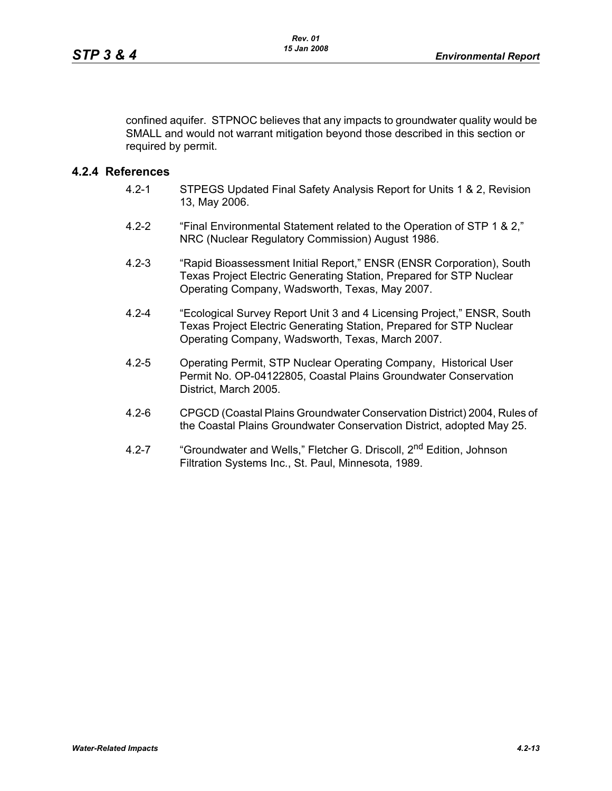confined aquifer. STPNOC believes that any impacts to groundwater quality would be SMALL and would not warrant mitigation beyond those described in this section or required by permit.

### **4.2.4 References**

- 4.2-1 STPEGS Updated Final Safety Analysis Report for Units 1 & 2, Revision 13, May 2006.
- 4.2-2 "Final Environmental Statement related to the Operation of STP 1 & 2," NRC (Nuclear Regulatory Commission) August 1986.
- 4.2-3 "Rapid Bioassessment Initial Report," ENSR (ENSR Corporation), South Texas Project Electric Generating Station, Prepared for STP Nuclear Operating Company, Wadsworth, Texas, May 2007.
- 4.2-4 "Ecological Survey Report Unit 3 and 4 Licensing Project," ENSR, South Texas Project Electric Generating Station, Prepared for STP Nuclear Operating Company, Wadsworth, Texas, March 2007.
- 4.2-5 Operating Permit, STP Nuclear Operating Company, Historical User Permit No. OP-04122805, Coastal Plains Groundwater Conservation District, March 2005.
- 4.2-6 CPGCD (Coastal Plains Groundwater Conservation District) 2004, Rules of the Coastal Plains Groundwater Conservation District, adopted May 25.
- 4.2-7 "Groundwater and Wells," Fletcher G. Driscoll, 2<sup>nd</sup> Edition, Johnson Filtration Systems Inc., St. Paul, Minnesota, 1989.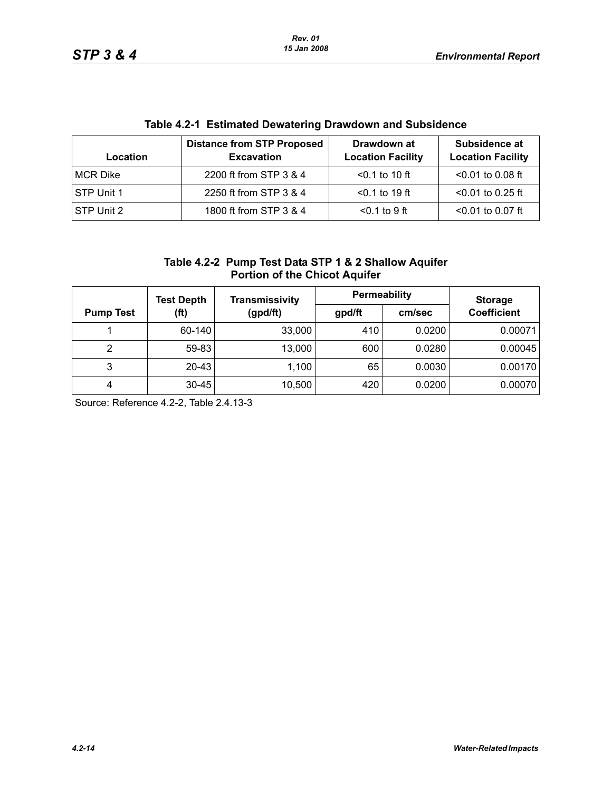| Location          | <b>Distance from STP Proposed</b><br><b>Excavation</b> | Drawdown at<br><b>Location Facility</b> | Subsidence at<br><b>Location Facility</b> |
|-------------------|--------------------------------------------------------|-----------------------------------------|-------------------------------------------|
| MCR Dike          | 2200 ft from STP 3 & 4                                 | $< 0.1$ to 10 ft                        | $< 0.01$ to 0.08 ft                       |
| <b>STP Unit 1</b> | 2250 ft from STP 3 & 4                                 | $< 0.1$ to 19 ft                        | $<$ 0.01 to 0.25 ft                       |
| STP Unit 2        | 1800 ft from STP 3 & 4                                 | $< 0.1$ to 9 ft                         | $< 0.01$ to 0.07 ft                       |

# **Table 4.2-1 Estimated Dewatering Drawdown and Subsidence**

|                                      | Table 4.2-2 Pump Test Data STP 1 & 2 Shallow Aquifer |  |  |  |  |  |
|--------------------------------------|------------------------------------------------------|--|--|--|--|--|
| <b>Portion of the Chicot Aquifer</b> |                                                      |  |  |  |  |  |

|                  | <b>Test Depth</b> | Transmissivity | Permeability |        | <b>Storage</b>     |  |
|------------------|-------------------|----------------|--------------|--------|--------------------|--|
| <b>Pump Test</b> | (ft)              | (gpd/ft)       | gpd/ft       | cm/sec | <b>Coefficient</b> |  |
|                  | 60-140            | 33,000         | 410          | 0.0200 | 0.00071            |  |
| 2                | 59-83             | 13,000         | 600          | 0.0280 | 0.00045            |  |
| 3                | $20 - 43$         | 1,100          | 65           | 0.0030 | 0.00170            |  |
| 4                | $30 - 45$         | 10,500         | 420          | 0.0200 | 0.00070            |  |

Source: Reference 4.2-2, Table 2.4.13-3